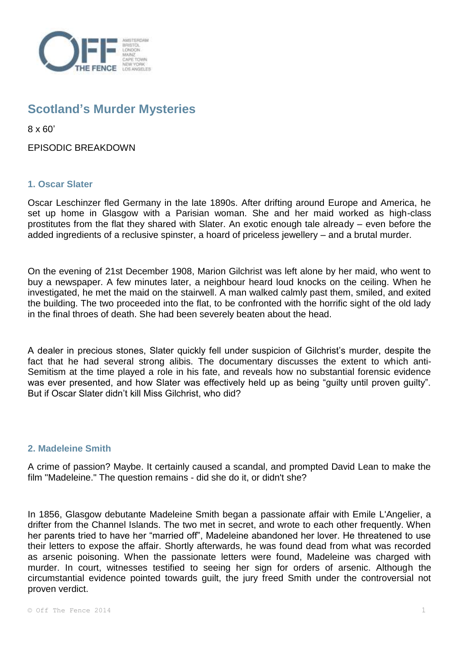

# **Scotland's Murder Mysteries**

8 x 60'

EPISODIC BREAKDOWN

# **1. Oscar Slater**

Oscar Leschinzer fled Germany in the late 1890s. After drifting around Europe and America, he set up home in Glasgow with a Parisian woman. She and her maid worked as high-class prostitutes from the flat they shared with Slater. An exotic enough tale already – even before the added ingredients of a reclusive spinster, a hoard of priceless jewellery – and a brutal murder.

On the evening of 21st December 1908, Marion Gilchrist was left alone by her maid, who went to buy a newspaper. A few minutes later, a neighbour heard loud knocks on the ceiling. When he investigated, he met the maid on the stairwell. A man walked calmly past them, smiled, and exited the building. The two proceeded into the flat, to be confronted with the horrific sight of the old lady in the final throes of death. She had been severely beaten about the head.

A dealer in precious stones, Slater quickly fell under suspicion of Gilchrist's murder, despite the fact that he had several strong alibis. The documentary discusses the extent to which anti-Semitism at the time played a role in his fate, and reveals how no substantial forensic evidence was ever presented, and how Slater was effectively held up as being "guilty until proven guilty". But if Oscar Slater didn't kill Miss Gilchrist, who did?

## **2. Madeleine Smith**

A crime of passion? Maybe. It certainly caused a scandal, and prompted David Lean to make the film "Madeleine." The question remains - did she do it, or didn't she?

In 1856, Glasgow debutante Madeleine Smith began a passionate affair with Emile L'Angelier, a drifter from the Channel Islands. The two met in secret, and wrote to each other frequently. When her parents tried to have her "married off", Madeleine abandoned her lover. He threatened to use their letters to expose the affair. Shortly afterwards, he was found dead from what was recorded as arsenic poisoning. When the passionate letters were found, Madeleine was charged with murder. In court, witnesses testified to seeing her sign for orders of arsenic. Although the circumstantial evidence pointed towards guilt, the jury freed Smith under the controversial not proven verdict.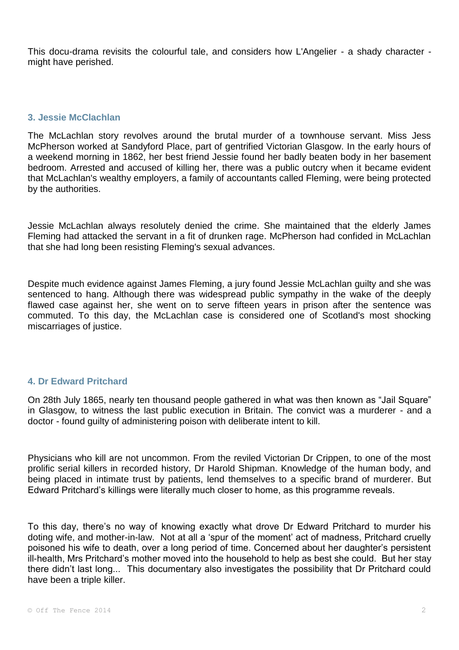This docu-drama revisits the colourful tale, and considers how L'Angelier - a shady character might have perished.

## **3. Jessie McClachlan**

The McLachlan story revolves around the brutal murder of a townhouse servant. Miss Jess McPherson worked at Sandyford Place, part of gentrified Victorian Glasgow. In the early hours of a weekend morning in 1862, her best friend Jessie found her badly beaten body in her basement bedroom. Arrested and accused of killing her, there was a public outcry when it became evident that McLachlan's wealthy employers, a family of accountants called Fleming, were being protected by the authorities.

Jessie McLachlan always resolutely denied the crime. She maintained that the elderly James Fleming had attacked the servant in a fit of drunken rage. McPherson had confided in McLachlan that she had long been resisting Fleming's sexual advances.

Despite much evidence against James Fleming, a jury found Jessie McLachlan guilty and she was sentenced to hang. Although there was widespread public sympathy in the wake of the deeply flawed case against her, she went on to serve fifteen years in prison after the sentence was commuted. To this day, the McLachlan case is considered one of Scotland's most shocking miscarriages of justice.

# **4. Dr Edward Pritchard**

On 28th July 1865, nearly ten thousand people gathered in what was then known as "Jail Square" in Glasgow, to witness the last public execution in Britain. The convict was a murderer - and a doctor - found guilty of administering poison with deliberate intent to kill.

Physicians who kill are not uncommon. From the reviled Victorian Dr Crippen, to one of the most prolific serial killers in recorded history, Dr Harold Shipman. Knowledge of the human body, and being placed in intimate trust by patients, lend themselves to a specific brand of murderer. But Edward Pritchard's killings were literally much closer to home, as this programme reveals.

To this day, there's no way of knowing exactly what drove Dr Edward Pritchard to murder his doting wife, and mother-in-law. Not at all a 'spur of the moment' act of madness, Pritchard cruelly poisoned his wife to death, over a long period of time. Concerned about her daughter's persistent ill-health, Mrs Pritchard's mother moved into the household to help as best she could. But her stay there didn't last long... This documentary also investigates the possibility that Dr Pritchard could have been a triple killer.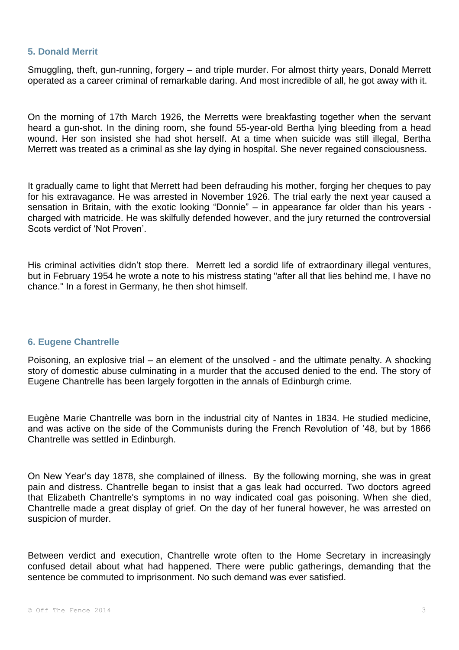#### **5. Donald Merrit**

Smuggling, theft, gun-running, forgery – and triple murder. For almost thirty years, Donald Merrett operated as a career criminal of remarkable daring. And most incredible of all, he got away with it.

On the morning of 17th March 1926, the Merretts were breakfasting together when the servant heard a gun-shot. In the dining room, she found 55-year-old Bertha lying bleeding from a head wound. Her son insisted she had shot herself. At a time when suicide was still illegal, Bertha Merrett was treated as a criminal as she lay dying in hospital. She never regained consciousness.

It gradually came to light that Merrett had been defrauding his mother, forging her cheques to pay for his extravagance. He was arrested in November 1926. The trial early the next year caused a sensation in Britain, with the exotic looking "Donnie" – in appearance far older than his years charged with matricide. He was skilfully defended however, and the jury returned the controversial Scots verdict of 'Not Proven'.

His criminal activities didn't stop there. Merrett led a sordid life of extraordinary illegal ventures, but in February 1954 he wrote a note to his mistress stating "after all that lies behind me, I have no chance." In a forest in Germany, he then shot himself.

## **6. Eugene Chantrelle**

Poisoning, an explosive trial – an element of the unsolved - and the ultimate penalty. A shocking story of domestic abuse culminating in a murder that the accused denied to the end. The story of Eugene Chantrelle has been largely forgotten in the annals of Edinburgh crime.

Eugène Marie Chantrelle was born in the industrial city of Nantes in 1834. He studied medicine, and was active on the side of the Communists during the French Revolution of '48, but by 1866 Chantrelle was settled in Edinburgh.

On New Year's day 1878, she complained of illness. By the following morning, she was in great pain and distress. Chantrelle began to insist that a gas leak had occurred. Two doctors agreed that Elizabeth Chantrelle's symptoms in no way indicated coal gas poisoning. When she died, Chantrelle made a great display of grief. On the day of her funeral however, he was arrested on suspicion of murder.

Between verdict and execution, Chantrelle wrote often to the Home Secretary in increasingly confused detail about what had happened. There were public gatherings, demanding that the sentence be commuted to imprisonment. No such demand was ever satisfied.